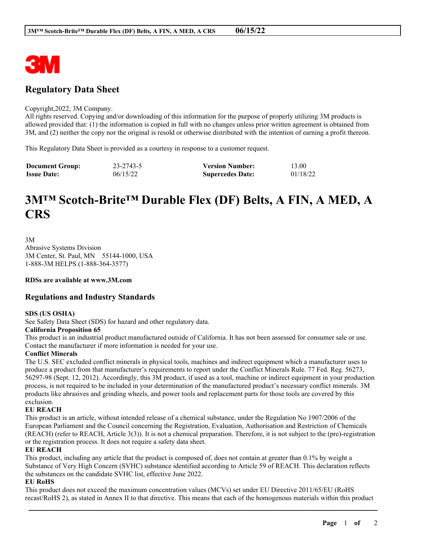

# **Regulatory Data Sheet**

#### Copyright,2022, 3M Company.

All rights reserved. Copying and/or downloading of this information for the purpose of properly utilizing 3M products is allowed provided that: (1) the information is copied in full with no changes unless prior written agreement is obtained from 3M, and (2) neither the copy nor the original is resold or otherwise distributed with the intention of earning a profit thereon.

This Regulatory Data Sheet is provided as a courtesy in response to a customer request.

| <b>Document Group:</b> | 23-2743-5 | <b>Version Number:</b>  | 13.00    |
|------------------------|-----------|-------------------------|----------|
| <b>Issue Date:</b>     | 06/15/22  | <b>Supercedes Date:</b> | 01/18/22 |

# **3M™ Scotch-Brite™ Durable Flex (DF) Belts, A FIN, A MED, A CRS**

3M Abrasive Systems Division 3M Center, St. Paul, MN 55144-1000, USA 1-888-3M HELPS (1-888-364-3577)

**RDSs are available at www.3M.com**

# **Regulations and Industry Standards**

#### **SDS (US OSHA)**

See Safety Data Sheet (SDS) for hazard and other regulatory data.

#### **California Proposition 65**

This product is an industrial product manufactured outside of California. It has not been assessed for consumer sale or use. Contact the manufacturer if more information is needed for your use.

## **Conflict Minerals**

The U.S. SEC excluded conflict minerals in physical tools, machines and indirect equipment which a manufacturer uses to produce a product from that manufacturer's requirements to report under the Conflict Minerals Rule. 77 Fed. Reg. 56273, 56297-98 (Sept. 12, 2012). Accordingly, this 3M product, if used as a tool, machine or indirect equipment in your production process, is not required to be included in your determination of the manufactured product's necessary conflict minerals. 3M products like abrasives and grinding wheels, and power tools and replacement parts for those tools are covered by this exclusion.

## **EU REACH**

This product is an article, without intended release of a chemical substance, under the Regulation No 1907/2006 of the European Parliament and the Council concerning the Registration, Evaluation, Authorisation and Restriction of Chemicals (REACH) (refer to REACH, Article 3(3)). It is not a chemical preparation. Therefore, it is not subject to the (pre)-registration or the registration process. It does not require a safety data sheet.

#### **EU REACH**

This product, including any article that the product is composed of, does not contain at greater than 0.1% by weight a Substance of Very High Concern (SVHC) substance identified according to Article 59 of REACH. This declaration reflects the substances on the candidate SVHC list, effective June 2022.

## **EU RoHS**

This product does not exceed the maximum concentration values (MCVs) set under EU Directive 2011/65/EU (RoHS recast/RoHS 2), as stated in Annex II to that directive. This means that each of the homogenous materials within this product

\_\_\_\_\_\_\_\_\_\_\_\_\_\_\_\_\_\_\_\_\_\_\_\_\_\_\_\_\_\_\_\_\_\_\_\_\_\_\_\_\_\_\_\_\_\_\_\_\_\_\_\_\_\_\_\_\_\_\_\_\_\_\_\_\_\_\_\_\_\_\_\_\_\_\_\_\_\_\_\_\_\_\_\_\_\_\_\_\_\_